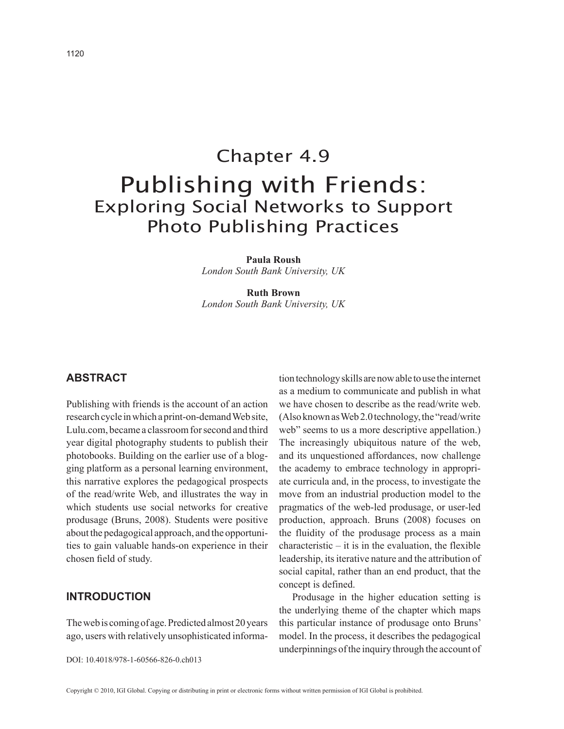# Chapter 4.9 Publishing with Friends: Exploring Social Networks to Support Photo Publishing Practices

**Paula Roush** *London South Bank University, UK*

**Ruth Brown** *London South Bank University, UK*

# **Abstract**

Publishing with friends is the account of an action research cycle in which a print-on-demand Web site, Lulu.com, became a classroom for second and third year digital photography students to publish their photobooks. Building on the earlier use of a blogging platform as a personal learning environment, this narrative explores the pedagogical prospects of the read/write Web, and illustrates the way in which students use social networks for creative produsage (Bruns, 2008). Students were positive about the pedagogical approach, and the opportunities to gain valuable hands-on experience in their chosen field of study.

# **INTRODUCTION**

The web is coming of age. Predicted almost 20 years ago, users with relatively unsophisticated informa-

DOI: 10.4018/978-1-60566-826-0.ch013

tion technology skills are now able to use the internet as a medium to communicate and publish in what we have chosen to describe as the read/write web. (Also known as Web 2.0 technology, the "read/write web" seems to us a more descriptive appellation.) The increasingly ubiquitous nature of the web, and its unquestioned affordances, now challenge the academy to embrace technology in appropriate curricula and, in the process, to investigate the move from an industrial production model to the pragmatics of the web-led produsage, or user-led production, approach. Bruns (2008) focuses on the fluidity of the produsage process as a main  $characteristic - it$  is in the evaluation, the flexible leadership, its iterative nature and the attribution of social capital, rather than an end product, that the concept is defined.

Produsage in the higher education setting is the underlying theme of the chapter which maps this particular instance of produsage onto Bruns' model. In the process, it describes the pedagogical underpinnings of the inquiry through the account of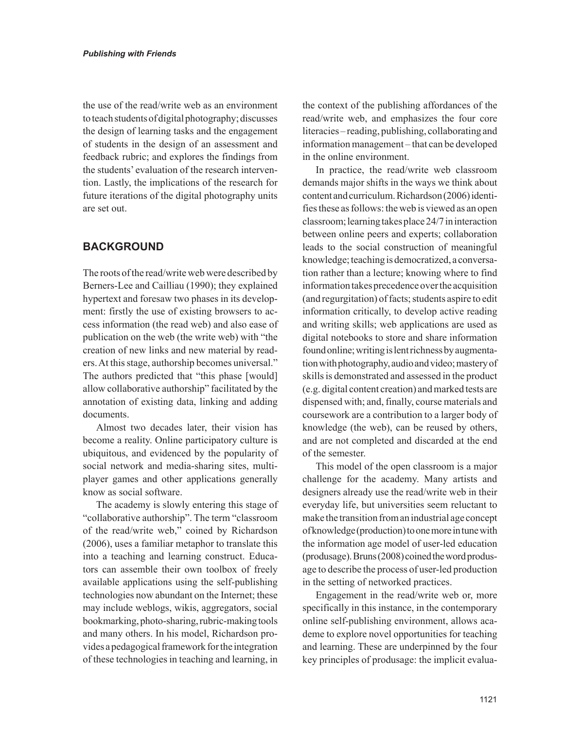the use of the read/write web as an environment to teach students of digital photography; discusses the design of learning tasks and the engagement of students in the design of an assessment and feedback rubric; and explores the findings from the students' evaluation of the research intervention. Lastly, the implications of the research for future iterations of the digital photography units are set out.

# **Background**

The roots of the read/write web were described by Berners-Lee and Cailliau (1990); they explained hypertext and foresaw two phases in its development: firstly the use of existing browsers to access information (the read web) and also ease of publication on the web (the write web) with "the creation of new links and new material by readers. At this stage, authorship becomes universal." The authors predicted that "this phase [would] allow collaborative authorship" facilitated by the annotation of existing data, linking and adding documents.

Almost two decades later, their vision has become a reality. Online participatory culture is ubiquitous, and evidenced by the popularity of social network and media-sharing sites, multiplayer games and other applications generally know as social software.

The academy is slowly entering this stage of "collaborative authorship". The term "classroom of the read/write web," coined by Richardson (2006), uses a familiar metaphor to translate this into a teaching and learning construct. Educators can assemble their own toolbox of freely available applications using the self-publishing technologies now abundant on the Internet; these may include weblogs, wikis, aggregators, social bookmarking, photo-sharing, rubric-making tools and many others. In his model, Richardson provides a pedagogical framework for the integration of these technologies in teaching and learning, in

the context of the publishing affordances of the read/write web, and emphasizes the four core literacies – reading, publishing, collaborating and information management – that can be developed in the online environment.

In practice, the read/write web classroom demands major shifts in the ways we think about content and curriculum. Richardson (2006) identifies these as follows: the web is viewed as an open classroom; learning takes place 24/7 in interaction between online peers and experts; collaboration leads to the social construction of meaningful knowledge; teaching is democratized, a conversation rather than a lecture; knowing where to find information takes precedence over the acquisition (and regurgitation) of facts; students aspire to edit information critically, to develop active reading and writing skills; web applications are used as digital notebooks to store and share information foundonline;writingislentrichnessbyaugmentation with photography, audio and video; mastery of skills is demonstrated and assessed in the product (e.g. digital content creation) and marked tests are dispensed with; and, finally, course materials and coursework are a contribution to a larger body of knowledge (the web), can be reused by others, and are not completed and discarded at the end of the semester.

This model of the open classroom is a major challenge for the academy. Many artists and designers already use the read/write web in their everyday life, but universities seem reluctant to make the transition from an industrial age concept of knowledge (production) to one more in tune with the information age model of user-led education (produsage). Bruns (2008) coined the word produsage to describe the process of user-led production in the setting of networked practices.

Engagement in the read/write web or, more specifically in this instance, in the contemporary online self-publishing environment, allows academe to explore novel opportunities for teaching and learning. These are underpinned by the four key principles of produsage: the implicit evalua